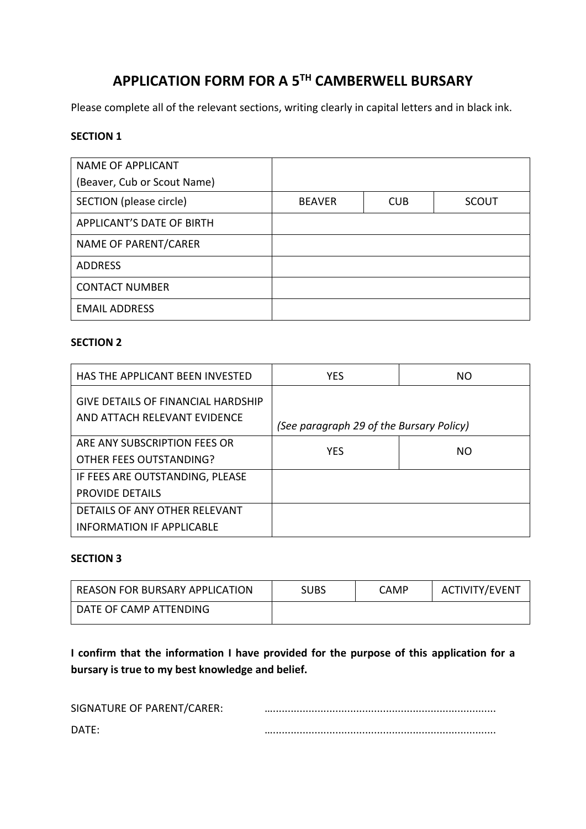# **APPLICATION FORM FOR A 5TH CAMBERWELL BURSARY**

Please complete all of the relevant sections, writing clearly in capital letters and in black ink.

### **SECTION 1**

| <b>NAME OF APPLICANT</b>    |               |            |              |
|-----------------------------|---------------|------------|--------------|
| (Beaver, Cub or Scout Name) |               |            |              |
| SECTION (please circle)     | <b>BEAVER</b> | <b>CUB</b> | <b>SCOUT</b> |
| APPLICANT'S DATE OF BIRTH   |               |            |              |
| NAME OF PARENT/CARER        |               |            |              |
| <b>ADDRESS</b>              |               |            |              |
| <b>CONTACT NUMBER</b>       |               |            |              |
| <b>EMAIL ADDRESS</b>        |               |            |              |

### **SECTION 2**

| HAS THE APPLICANT BEEN INVESTED                                    | <b>YES</b>                               | NO. |
|--------------------------------------------------------------------|------------------------------------------|-----|
| GIVE DETAILS OF FINANCIAL HARDSHIP<br>AND ATTACH RELEVANT EVIDENCE | (See paragraph 29 of the Bursary Policy) |     |
| ARE ANY SUBSCRIPTION FEES OR<br>OTHER FEES OUTSTANDING?            | <b>YES</b>                               | NO. |
| IF FEES ARE OUTSTANDING, PLEASE<br><b>PROVIDE DETAILS</b>          |                                          |     |
| DETAILS OF ANY OTHER RELEVANT<br><b>INFORMATION IF APPLICABLE</b>  |                                          |     |

#### **SECTION 3**

| REASON FOR BURSARY APPLICATION | <b>SUBS</b> | CAMP | ACTIVITY/EVENT |
|--------------------------------|-------------|------|----------------|
| DATE OF CAMP ATTENDING         |             |      |                |

**I confirm that the information I have provided for the purpose of this application for a bursary is true to my best knowledge and belief.**

| SIGNATURE OF PARENT/CARER: |  |
|----------------------------|--|
| DATE:                      |  |